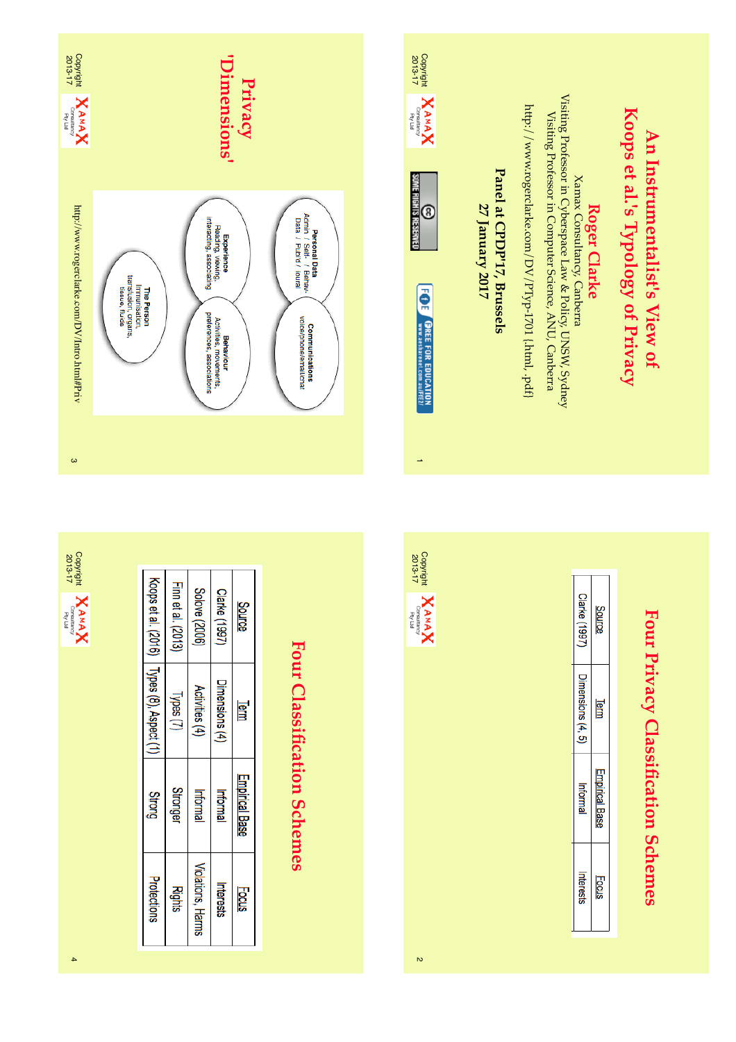

Four Privacy Classification Schemes **Four Privacy Classification Schemes**

**An Instrumentalist's View of** 

An Instrumentalist's View of

| Source      | Term                  | pirical t<br>Base | Focus    |
|-------------|-----------------------|-------------------|----------|
| Cerke (1997 | $\overline{ }$ (4, 5) | Informa           | herests. |
|             |                       |                   |          |

4

Violations, Harms

Rights

Interests

**Focus** 

Protections

 $\overline{2}$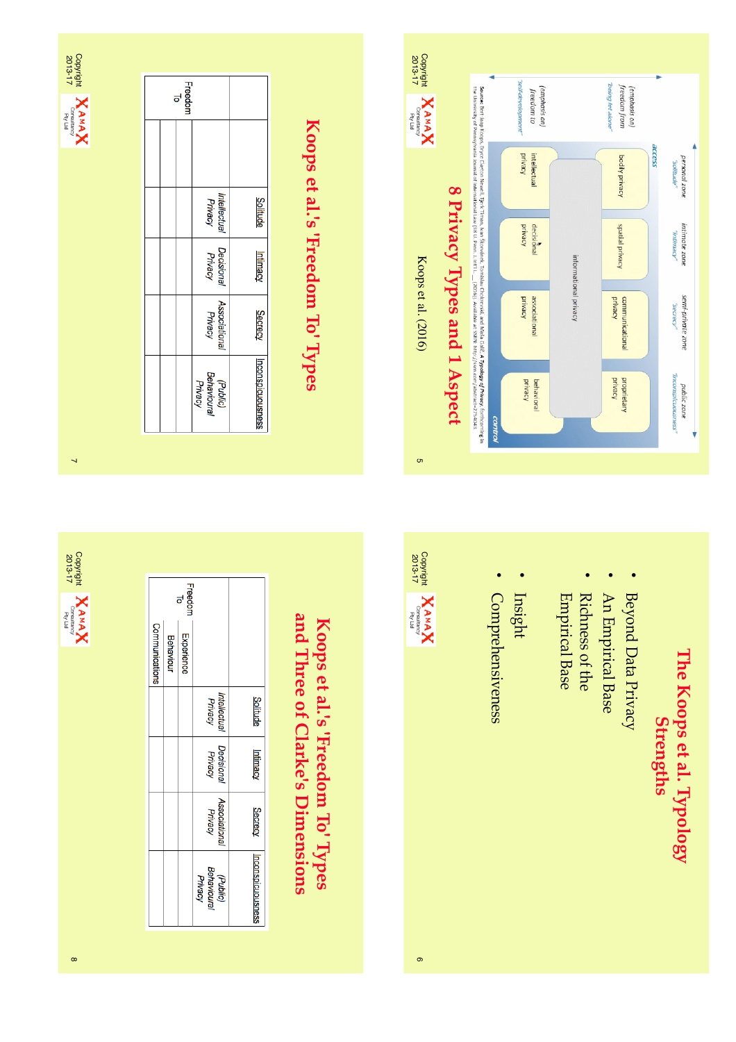

| Freedon<br>ಕ |                                    |                  |
|--------------|------------------------------------|------------------|
|              |                                    |                  |
|              | Intellectual<br>Privacy            | Solitude         |
|              | Decisional<br>Privacy              | Intimacy         |
|              | Associational<br>Privacy           | Secrecy          |
|              | (Public)<br>Behavioural<br>Privacy | nconspicuousnes: |

## Koops et al.'s 'Freedom To' Types **Koops et al.'s 'Freedom To' Types**



### The Koops et al. Typology **The Koops et al. Typology Strengths**

- Beyond Data Privacy Beyond Data Privacy
- An Empirical Base An Empirical Base

•

- **Richness of the** Empirical Richness of the Base
- Insight
- **Comprehensiveness** Comprehensiveness

•



 $\circ$ 

### and Three of Clarke's Dimensions **and Three of Clarke's Dimensions**Koops et al.'s 'Freedom To' Types **Koops et al.'s 'Freedom To' Types**

|                |           | Freedon<br>ಕ |                                    |                  |
|----------------|-----------|--------------|------------------------------------|------------------|
| Communications | Behaviour | Experience   |                                    |                  |
|                |           |              | <b>Intellectual</b><br>Privacy     | <b>Solitude</b>  |
|                |           |              | Decisional<br>Privacy              | Intimacy         |
|                |           |              | <b>Associational</b><br>Privacy    | Secrecy          |
|                |           |              | Behavioural<br>Privacy<br>(Public) | nconspicuousness |

 $\overline{ }$ 

Copyright<br> **ZO13-17**<br> **ZO13-17**<br> **Corneright Contentions** 

2013-17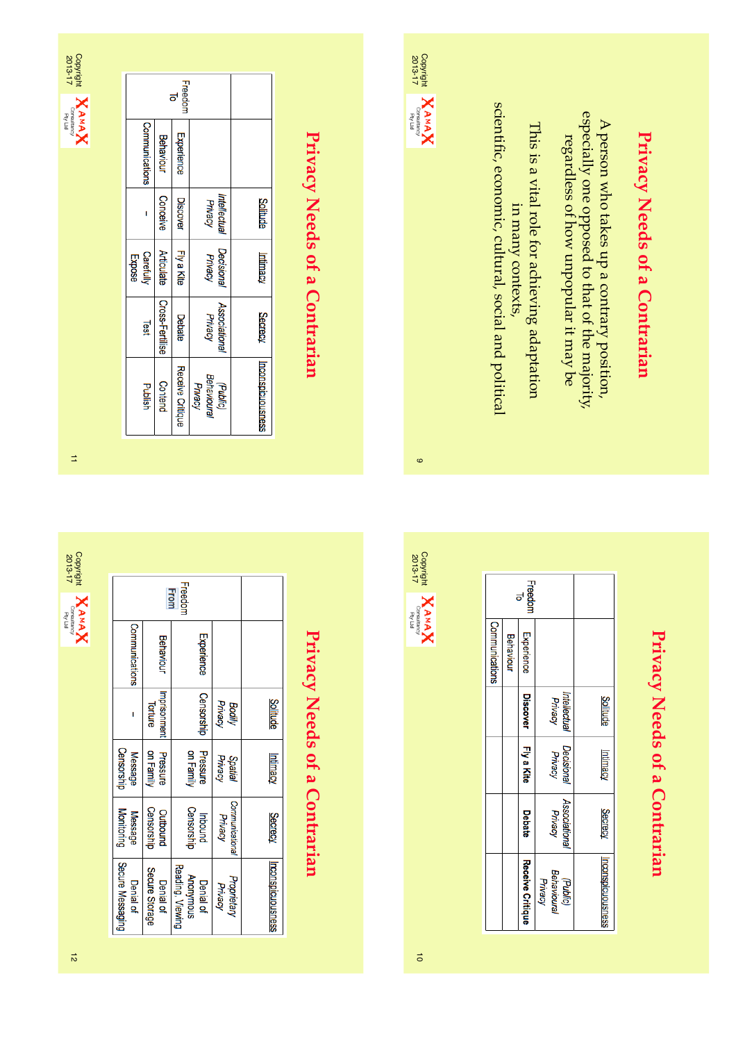| 'n<br>$-810$ |
|--------------|
| ×            |

 $\Rightarrow$ 

Copyright<br> **ZAMAX**<br> **ZO13-17**<br> **Cornal Contention** 

2013-17

|                     |                   | Freedor<br>ಕ     |                                    |                   |
|---------------------|-------------------|------------------|------------------------------------|-------------------|
| Communications      | <b>Behaviour</b>  | Experience       |                                    |                   |
|                     | Conceive          | <b>Discover</b>  | Intellectual<br>Privacy            | <b>Solitude</b>   |
| Carefully<br>Expose | <b>Articulate</b> | Fly a Kite       | Decisional<br><b>Privacy</b>       | Intimacy          |
| Test                | Cross-Fertilise   | Debate           | <b>Associational</b><br>Privacy    | <b>Secrecy</b>    |
| Publish             | Contend           | Receive Critique | Behavioural<br>(Public)<br>Privacy | Inconspicuousness |

Freedom<br>From

**Behaviour** 

Imprisonment<br>Torture

Pressure<br>on Family

Outbound<br>Censorship

Secure Storage

Denial of

Experience

Censorship Bodily<br>Privacy

Pressure<br>on Family

Inbound<br>Censorship

Anonymous<br>Reading, Viewing

Denial of

Spatial<br>Privacy

Communicational<br>Privacy

Proprietary<br>Privacy

Communications

 $\bar{\rm I}$ 

Message<br>Censorship

**Message**<br>Monitoring

Secure Messaging

**Denial of** 

## Privacy Needs of a Contrarian **Privacy Needs of a Contrarian**

**Privacy Needs of a Contrarian**

Privacy Needs of a Contrarian

**Solitude** 

Intimacy

Secrecy

Inconspicuousness

|                       |                   | eedom<br>ಕ       |                                    |                          |  |
|-----------------------|-------------------|------------------|------------------------------------|--------------------------|--|
| <b>Communications</b> | <b>Behaviour</b>  | Experience       |                                    |                          |  |
|                       | Conceive          | Discover         | Intellectual<br>Privacy            | <b>Solitude</b>          |  |
| Carefully             | <b>Articulate</b> | Fly a Kite       | <b>Decisional</b><br>Privacy       | Intimacy                 |  |
| <b>Les</b>            | Cross-Fertilise   | Debate           | <b>Associational</b><br>Privacy    | <b>Secrecy</b>           |  |
| Plaish                | Contend           | Receive Critique | Behavioural<br>Privacy<br>(Public) | <b>Inconspicuousness</b> |  |

 $\sum_{\text{2013-17}}$   $\sum_{\text{Consistency}}$   $\sum_{\text{PyLid}}$ 

2013-17

## Privacy Needs of a Contrarian **Privacy Needs of a Contrarian**

**Privacy Needs of a Contrarian**

Privacy Needs of a Contrarian

A person who takes up a contrary position, especially one opposed to that of the majority, regardless of how unpopular it may be

especially one opposed to that of the majority, A person who takes up a contrary position,

regardless of how unpopular it may be

This is a vital role for achieving adaptation in many contexts, scientific, economic, cultural, social and political

This is a vital role for achieving adaptation

in many contexts,

scientific, economic, cultural, social and political

|                |                  | reedon<br>ಕ      |                                    |                  |
|----------------|------------------|------------------|------------------------------------|------------------|
| Communications | <b>Behaviour</b> | Experience       |                                    |                  |
|                |                  | <b>Discover</b>  | Intellectual<br>Privacy            | <b>Solitude</b>  |
|                |                  | Fly a Kite       | <b>Decisional</b><br>Privacy       | Intimacy         |
|                |                  | Debate           | <b>Associationa</b><br>Privacy     | Secrecy          |
|                |                  | Receive Critique | Behavioural<br>Privacy<br>(Public) | nconspicuousness |



 $\bullet$